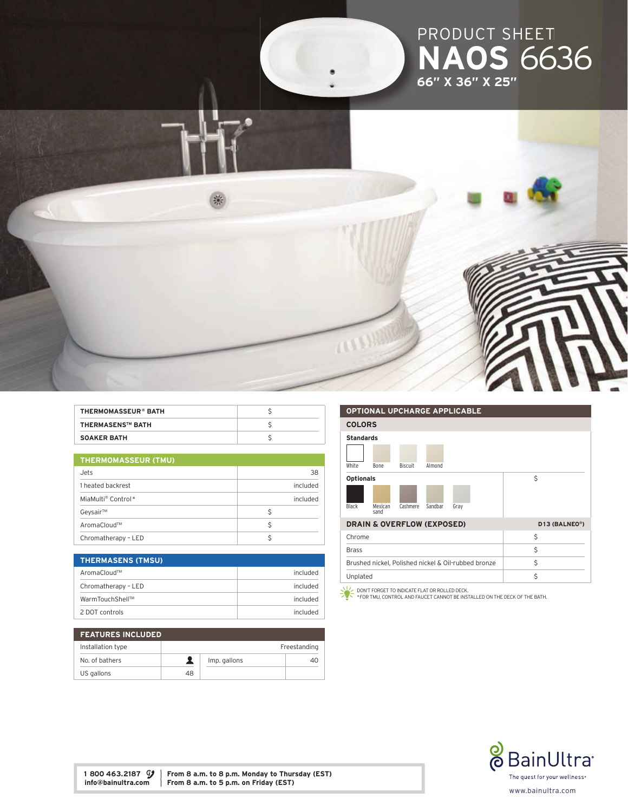

| <b>THERMOMASSEUR® BATH</b> |  |
|----------------------------|--|
| <b>THERMASENS™ BATH</b>    |  |
| <b>SOAKER BATH</b>         |  |

| <b>THERMOMASSEUR (TMU)</b> |  |  |
|----------------------------|--|--|
|                            |  |  |

| Jets                | 38       |
|---------------------|----------|
| 1 heated backrest   | included |
| MiaMulti® Control*  | included |
| Geysair™            | S        |
| AromaCloud™         |          |
| Chromatherapy - LED |          |

| <b>THERMASENS (TMSU)</b> |          |
|--------------------------|----------|
| AromaCloud™              | included |
| Chromatherapy - LED      | included |
| WarmTouchShell™          | included |
| 2 DOT controls           | included |

| <b>FEATURES INCLUDED</b> |    |              |              |
|--------------------------|----|--------------|--------------|
| Installation type        |    |              | Freestanding |
| No. of bathers           |    | Imp. gallons | 40           |
| US gallons               | 48 |              |              |

#### OPTIONAL UPCHARGE APPLICABLE

| VI TIVINAE VI VITANVE AL LEIVADEE                   |                 |                |         |      |  |               |  |
|-----------------------------------------------------|-----------------|----------------|---------|------|--|---------------|--|
| <b>COLORS</b>                                       |                 |                |         |      |  |               |  |
| <b>Standards</b>                                    |                 |                |         |      |  |               |  |
|                                                     |                 |                |         |      |  |               |  |
| White                                               | Bone            | <b>Biscuit</b> | Almond  |      |  |               |  |
| <b>Optionals</b>                                    |                 |                |         |      |  | \$            |  |
|                                                     |                 |                |         |      |  |               |  |
| Black                                               | Mexican<br>sand | Cashmere       | Sandbar | Gray |  |               |  |
| <b>DRAIN &amp; OVERFLOW (EXPOSED)</b>               |                 |                |         |      |  | D13 (BALNEO®) |  |
| Chrome                                              |                 |                |         |      |  | \$            |  |
| <b>Brass</b>                                        |                 |                |         |      |  | Ś             |  |
| Brushed nickel, Polished nickel & Oil-rubbed bronze |                 |                |         |      |  | Ś             |  |
| Unplated                                            |                 |                |         |      |  | \$            |  |

DON'T FORGET TO INDICATE FLAT OR ROLLED DECK. \* FOR TMU, CONTROL AND FAUCET CANNOT BE INSTALLED ON THE DECK OF THE BATH.